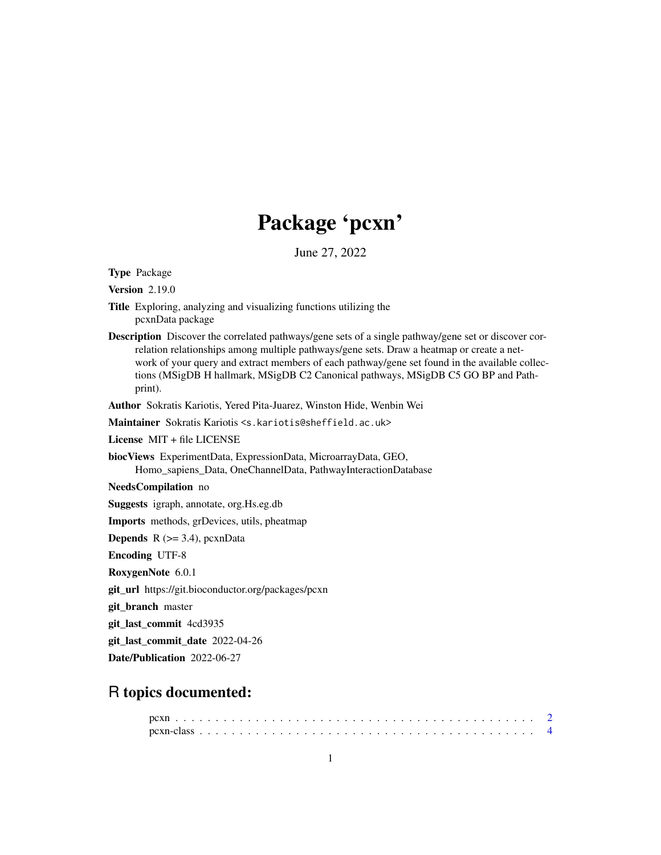## Package 'pcxn'

June 27, 2022

Type Package

Version 2.19.0

- Title Exploring, analyzing and visualizing functions utilizing the pcxnData package
- Description Discover the correlated pathways/gene sets of a single pathway/gene set or discover correlation relationships among multiple pathways/gene sets. Draw a heatmap or create a network of your query and extract members of each pathway/gene set found in the available collections (MSigDB H hallmark, MSigDB C2 Canonical pathways, MSigDB C5 GO BP and Pathprint).

Author Sokratis Kariotis, Yered Pita-Juarez, Winston Hide, Wenbin Wei

Maintainer Sokratis Kariotis <s.kariotis@sheffield.ac.uk>

License MIT + file LICENSE

biocViews ExperimentData, ExpressionData, MicroarrayData, GEO, Homo\_sapiens\_Data, OneChannelData, PathwayInteractionDatabase

NeedsCompilation no

Suggests igraph, annotate, org.Hs.eg.db

Imports methods, grDevices, utils, pheatmap

**Depends**  $R$  ( $>=$  3.4), pcxnData

Encoding UTF-8

RoxygenNote 6.0.1

git\_url https://git.bioconductor.org/packages/pcxn

git\_branch master

git\_last\_commit 4cd3935

git\_last\_commit\_date 2022-04-26

Date/Publication 2022-06-27

### R topics documented: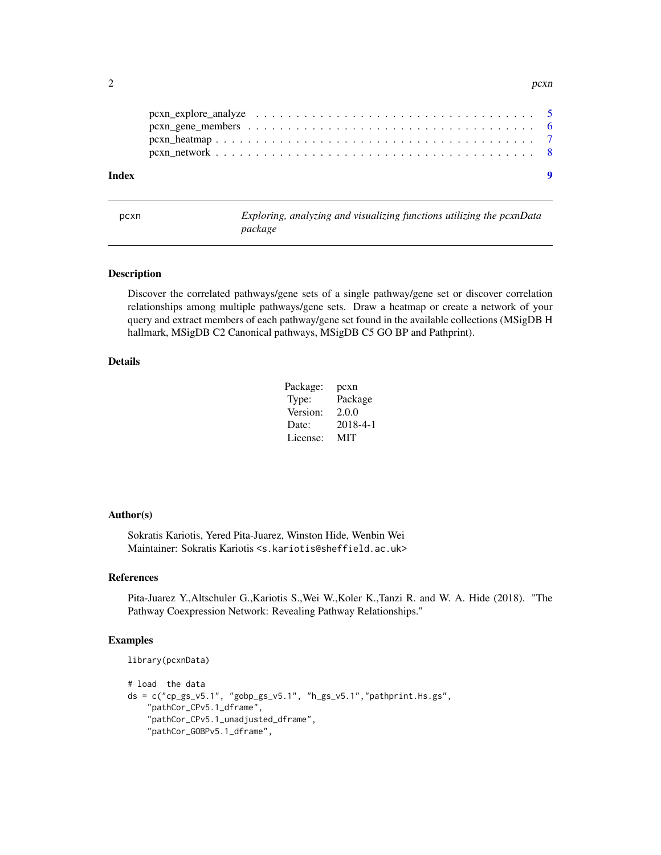<span id="page-1-0"></span>

| Index | $\bullet$ |
|-------|-----------|
|       |           |
|       |           |
|       |           |
|       |           |

pcxn *Exploring, analyzing and visualizing functions utilizing the pcxnData package*

#### Description

Discover the correlated pathways/gene sets of a single pathway/gene set or discover correlation relationships among multiple pathways/gene sets. Draw a heatmap or create a network of your query and extract members of each pathway/gene set found in the available collections (MSigDB H hallmark, MSigDB C2 Canonical pathways, MSigDB C5 GO BP and Pathprint).

#### Details

| Package: | pcxn     |
|----------|----------|
| Type:    | Package  |
| Version: | 2.0.0    |
| Date:    | 2018-4-1 |
| License: | MIT      |

#### Author(s)

Sokratis Kariotis, Yered Pita-Juarez, Winston Hide, Wenbin Wei Maintainer: Sokratis Kariotis <s.kariotis@sheffield.ac.uk>

#### References

Pita-Juarez Y.,Altschuler G.,Kariotis S.,Wei W.,Koler K.,Tanzi R. and W. A. Hide (2018). "The Pathway Coexpression Network: Revealing Pathway Relationships."

#### Examples

```
library(pcxnData)
```

```
# load the data
ds = c("cp_gs_v5.1", "gobp_gs_v5.1", "h_gs_v5.1", "pathprint.Hs.gs","pathCor_CPv5.1_dframe",
    "pathCor_CPv5.1_unadjusted_dframe",
    "pathCor_GOBPv5.1_dframe",
```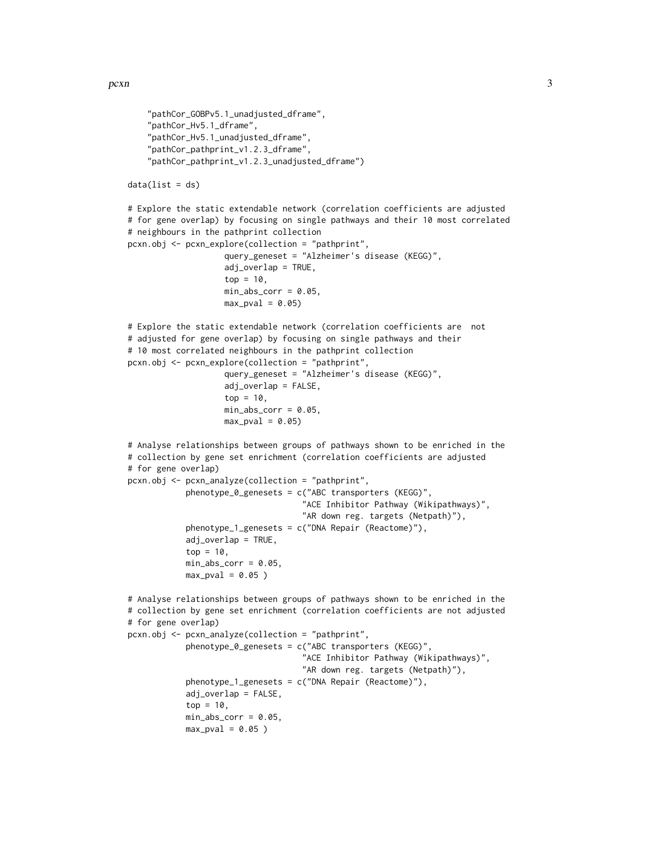```
"pathCor_GOBPv5.1_unadjusted_dframe",
    "pathCor_Hv5.1_dframe",
    "pathCor_Hv5.1_unadjusted_dframe",
    "pathCor_pathprint_v1.2.3_dframe",
    "pathCor_pathprint_v1.2.3_unadjusted_dframe")
data(list = ds)# Explore the static extendable network (correlation coefficients are adjusted
# for gene overlap) by focusing on single pathways and their 10 most correlated
# neighbours in the pathprint collection
pcxn.obj <- pcxn_explore(collection = "pathprint",
                    query_geneset = "Alzheimer's disease (KEGG)",
                    adj_overlap = TRUE,
                    top = 10,
                    min\_abs\_corr = 0.05,
                    max\_pval = 0.05# Explore the static extendable network (correlation coefficients are not
# adjusted for gene overlap) by focusing on single pathways and their
# 10 most correlated neighbours in the pathprint collection
pcxn.obj <- pcxn_explore(collection = "pathprint",
                    query_geneset = "Alzheimer's disease (KEGG)",
                    adj_overlap = FALSE,
                    top = 10,
                    min\_abs\_corr = 0.05,
                    max_pval = 0.05# Analyse relationships between groups of pathways shown to be enriched in the
# collection by gene set enrichment (correlation coefficients are adjusted
# for gene overlap)
pcxn.obj <- pcxn_analyze(collection = "pathprint",
            phenotype_0_genesets = c("ABC transporters (KEGG)",
                                    "ACE Inhibitor Pathway (Wikipathways)",
                                    "AR down reg. targets (Netpath)"),
            phenotype_1_genesets = c("DNA Repair (Reactome)"),
            adj_overlap = TRUE,
            top = 10,
            min\_abs\_corr = 0.05,
            max_pval = 0.05)
# Analyse relationships between groups of pathways shown to be enriched in the
# collection by gene set enrichment (correlation coefficients are not adjusted
# for gene overlap)
pcxn.obj <- pcxn_analyze(collection = "pathprint",
            phenotype_0_genesets = c("ABC transporters (KEGG)",
                                    "ACE Inhibitor Pathway (Wikipathways)",
                                    "AR down reg. targets (Netpath)"),
            phenotype_1_genesets = c("DNA Repair (Reactome)"),
            adj_overlap = FALSE,
            top = 10,
            min\_abs\_corr = 0.05,
            max\_pval = 0.05)
```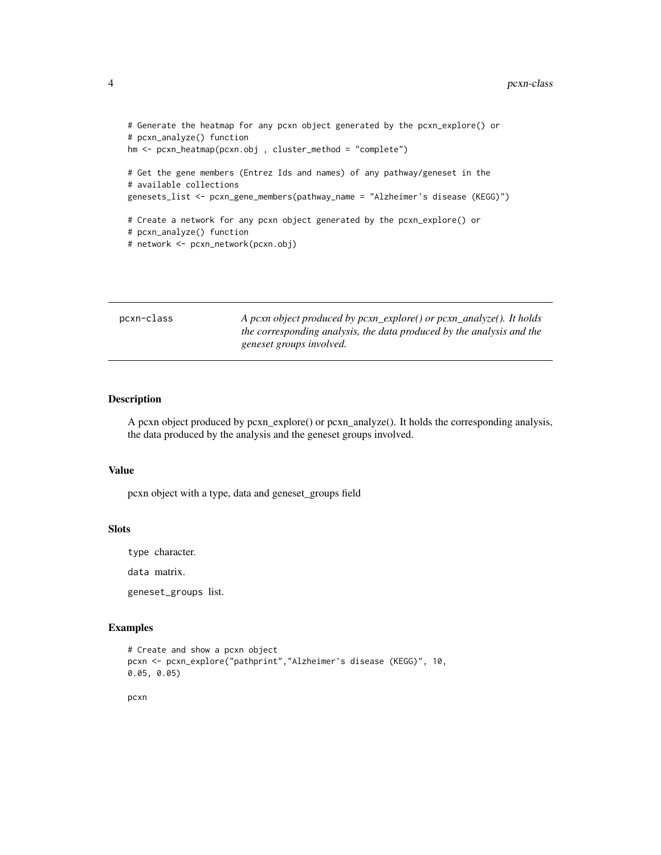```
# Generate the heatmap for any pcxn object generated by the pcxn_explore() or
# pcxn_analyze() function
hm <- pcxn_heatmap(pcxn.obj , cluster_method = "complete")
# Get the gene members (Entrez Ids and names) of any pathway/geneset in the
# available collections
genesets_list <- pcxn_gene_members(pathway_name = "Alzheimer's disease (KEGG)")
# Create a network for any pcxn object generated by the pcxn_explore() or
# pcxn_analyze() function
# network <- pcxn_network(pcxn.obj)
```

| pcxn-class | A pcxn object produced by $pcxn\_explore()$ or $pcxn\_analyze()$ . It holds<br>the corresponding analysis, the data produced by the analysis and the<br>geneset groups involved. |
|------------|----------------------------------------------------------------------------------------------------------------------------------------------------------------------------------|
|            |                                                                                                                                                                                  |

#### Description

A pcxn object produced by pcxn\_explore() or pcxn\_analyze(). It holds the corresponding analysis, the data produced by the analysis and the geneset groups involved.

#### Value

pcxn object with a type, data and geneset\_groups field

#### Slots

type character.

data matrix.

geneset\_groups list.

#### Examples

```
# Create and show a pcxn object
pcxn <- pcxn_explore("pathprint","Alzheimer's disease (KEGG)", 10,
0.05, 0.05)
```
pcxn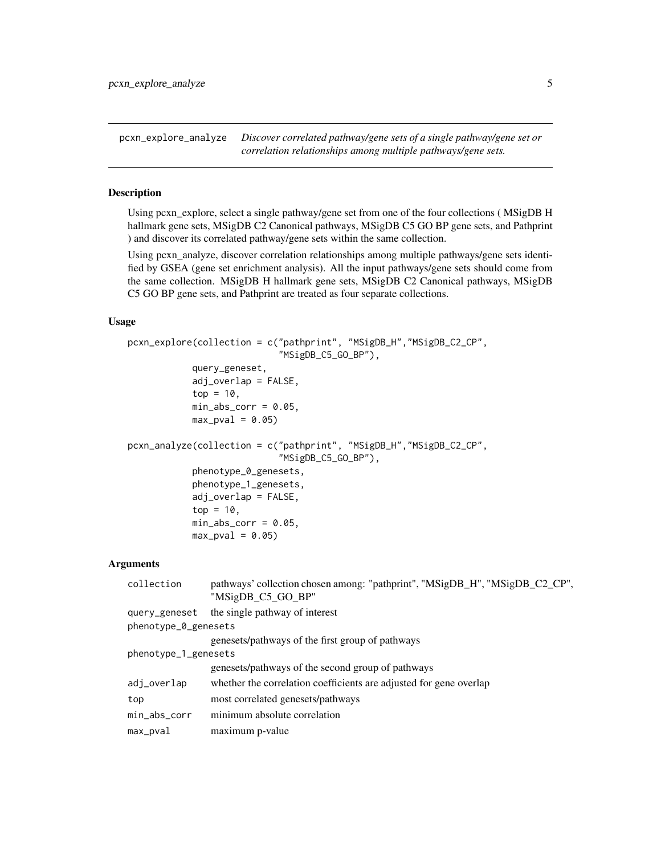<span id="page-4-0"></span>pcxn\_explore\_analyze *Discover correlated pathway/gene sets of a single pathway/gene set or correlation relationships among multiple pathways/gene sets.*

#### **Description**

Using pcxn\_explore, select a single pathway/gene set from one of the four collections ( MSigDB H hallmark gene sets, MSigDB C2 Canonical pathways, MSigDB C5 GO BP gene sets, and Pathprint ) and discover its correlated pathway/gene sets within the same collection.

Using pcxn\_analyze, discover correlation relationships among multiple pathways/gene sets identified by GSEA (gene set enrichment analysis). All the input pathways/gene sets should come from the same collection. MSigDB H hallmark gene sets, MSigDB C2 Canonical pathways, MSigDB C5 GO BP gene sets, and Pathprint are treated as four separate collections.

#### Usage

```
pcxn_explore(collection = c("pathprint", "MSigDB_H","MSigDB_C2_CP",
                            "MSigDB_C5_GO_BP"),
            query_geneset,
            adj_overlap = FALSE,top = 10,
            min\_abs\_corr = 0.05,
            max\_pval = 0.05pcxn_analyze(collection = c("pathprint", "MSigDB_H","MSigDB_C2_CP",
                            "MSigDB_C5_GO_BP"),
            phenotype_0_genesets,
            phenotype_1_genesets,
            adj_overlap = FALSE,
            top = 10,
            min\_abs\_corr = 0.05,
            max\_pval = 0.05
```
#### Arguments

| collection           | pathways' collection chosen among: "pathprint", "MSigDB_H", "MSigDB_C2_CP",<br>"MSigDB_C5_GO_BP" |  |  |  |  |  |
|----------------------|--------------------------------------------------------------------------------------------------|--|--|--|--|--|
| query_geneset        | the single pathway of interest                                                                   |  |  |  |  |  |
| phenotype_0_genesets |                                                                                                  |  |  |  |  |  |
|                      | genesets/pathways of the first group of pathways                                                 |  |  |  |  |  |
| phenotype_1_genesets |                                                                                                  |  |  |  |  |  |
|                      | genesets/pathways of the second group of pathways                                                |  |  |  |  |  |
| adj_overlap          | whether the correlation coefficients are adjusted for gene overlap                               |  |  |  |  |  |
| top                  | most correlated genesets/pathways                                                                |  |  |  |  |  |
| min_abs_corr         | minimum absolute correlation                                                                     |  |  |  |  |  |
| max_pval             | maximum p-value                                                                                  |  |  |  |  |  |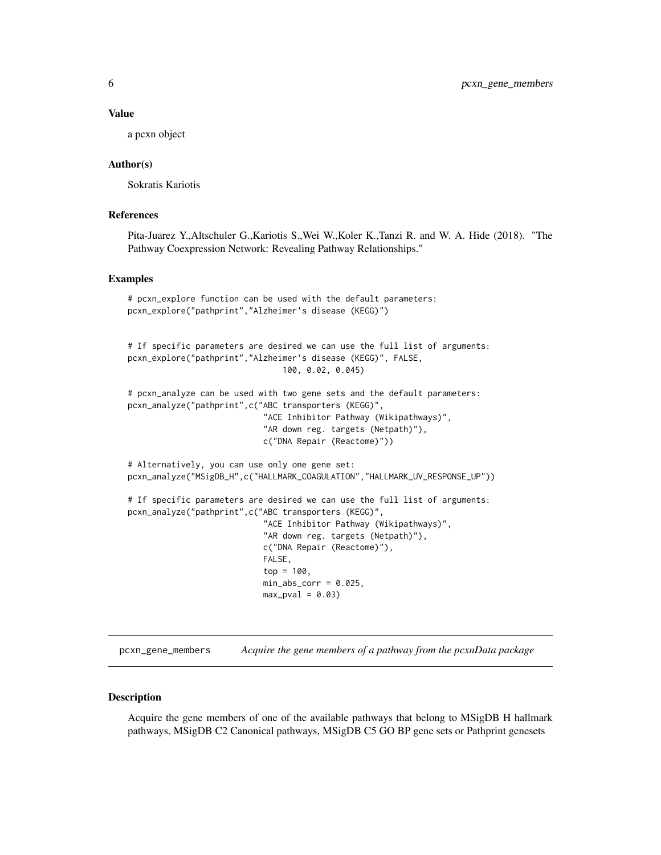#### <span id="page-5-0"></span>Value

a pcxn object

#### Author(s)

Sokratis Kariotis

#### References

Pita-Juarez Y.,Altschuler G.,Kariotis S.,Wei W.,Koler K.,Tanzi R. and W. A. Hide (2018). "The Pathway Coexpression Network: Revealing Pathway Relationships."

#### Examples

```
# pcxn_explore function can be used with the default parameters:
pcxn_explore("pathprint","Alzheimer's disease (KEGG)")
# If specific parameters are desired we can use the full list of arguments:
pcxn_explore("pathprint","Alzheimer's disease (KEGG)", FALSE,
                                100, 0.02, 0.045)
# pcxn_analyze can be used with two gene sets and the default parameters:
pcxn_analyze("pathprint",c("ABC transporters (KEGG)",
                            "ACE Inhibitor Pathway (Wikipathways)",
                            "AR down reg. targets (Netpath)"),
                            c("DNA Repair (Reactome)"))
# Alternatively, you can use only one gene set:
pcxn_analyze("MSigDB_H",c("HALLMARK_COAGULATION","HALLMARK_UV_RESPONSE_UP"))
# If specific parameters are desired we can use the full list of arguments:
pcxn_analyze("pathprint",c("ABC transporters (KEGG)",
                            "ACE Inhibitor Pathway (Wikipathways)",
                            "AR down reg. targets (Netpath)"),
                            c("DNA Repair (Reactome)"),
                            FALSE,
                            top = 100,min\_abs\_corr = 0.025,
                            max_pval = 0.03
```
pcxn\_gene\_members *Acquire the gene members of a pathway from the pcxnData package*

#### Description

Acquire the gene members of one of the available pathways that belong to MSigDB H hallmark pathways, MSigDB C2 Canonical pathways, MSigDB C5 GO BP gene sets or Pathprint genesets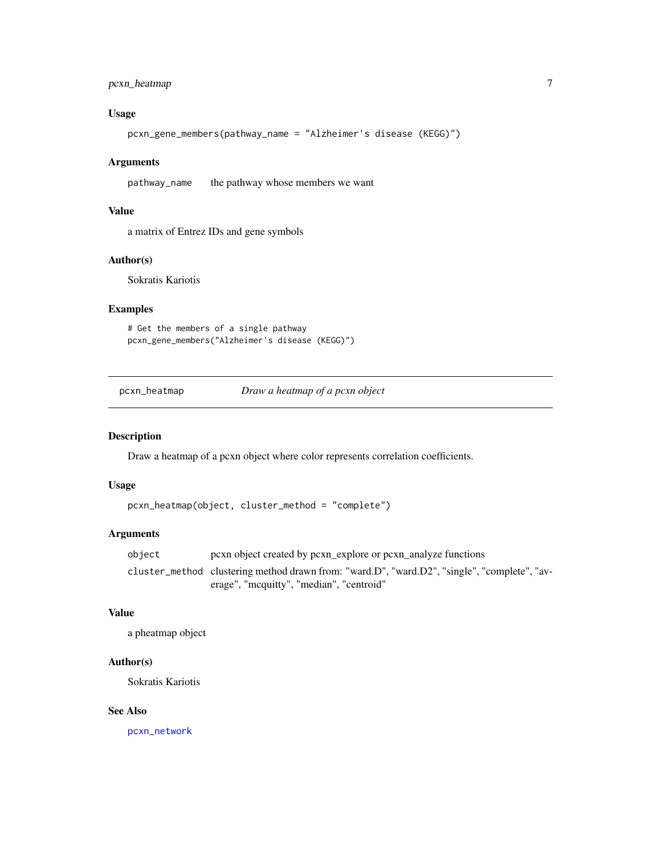#### <span id="page-6-0"></span>pcxn\_heatmap 7

#### Usage

```
pcxn_gene_members(pathway_name = "Alzheimer's disease (KEGG)")
```
#### Arguments

pathway\_name the pathway whose members we want

#### Value

a matrix of Entrez IDs and gene symbols

#### Author(s)

Sokratis Kariotis

#### Examples

```
# Get the members of a single pathway
pcxn_gene_members("Alzheimer's disease (KEGG)")
```
pcxn\_heatmap *Draw a heatmap of a pcxn object*

#### Description

Draw a heatmap of a pcxn object where color represents correlation coefficients.

#### Usage

```
pcxn_heatmap(object, cluster_method = "complete")
```
#### Arguments

object pcxn object created by pcxn\_explore or pcxn\_analyze functions cluster\_method clustering method drawn from: "ward.D", "ward.D2", "single", "complete", "average", "mcquitty", "median", "centroid"

#### Value

a pheatmap object

#### Author(s)

Sokratis Kariotis

#### See Also

[pcxn\\_network](#page-7-1)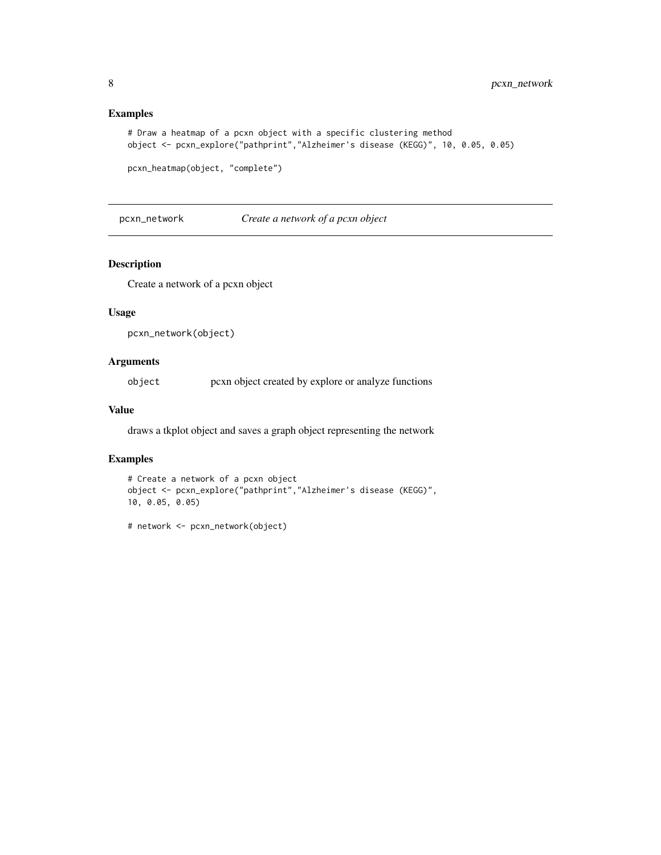#### Examples

```
# Draw a heatmap of a pcxn object with a specific clustering method
object <- pcxn_explore("pathprint","Alzheimer's disease (KEGG)", 10, 0.05, 0.05)
```

```
pcxn_heatmap(object, "complete")
```
<span id="page-7-1"></span>pcxn\_network *Create a network of a pcxn object*

#### Description

Create a network of a pcxn object

#### Usage

```
pcxn_network(object)
```
#### Arguments

object pcxn object created by explore or analyze functions

#### Value

draws a tkplot object and saves a graph object representing the network

#### Examples

```
# Create a network of a pcxn object
object <- pcxn_explore("pathprint","Alzheimer's disease (KEGG)",
10, 0.05, 0.05)
```
# network <- pcxn\_network(object)

<span id="page-7-0"></span>